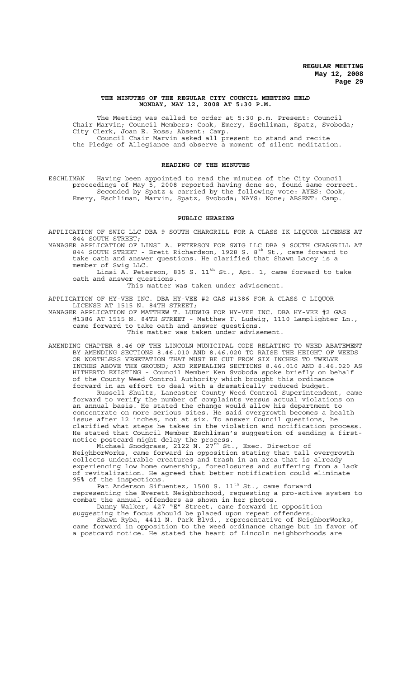## **THE MINUTES OF THE REGULAR CITY COUNCIL MEETING HELD MONDAY, MAY 12, 2008 AT 5:30 P.M.**

The Meeting was called to order at 5:30 p.m. Present: Council Chair Marvin; Council Members: Cook, Emery, Eschliman, Spatz, Svoboda; City Clerk, Joan E. Ross; Absent: Camp. Council Chair Marvin asked all present to stand and recite the Pledge of Allegiance and observe a moment of silent meditation.

# **READING OF THE MINUTES**

ESCHLIMAN Having been appointed to read the minutes of the City Council proceedings of May 5, 2008 reported having done so, found same correct. Seconded by Spatz & carried by the following vote: AYES: Cook, Emery, Eschliman, Marvin, Spatz, Svoboda; NAYS: None; ABSENT: Camp.

#### **PUBLIC HEARING**

APPLICATION OF SWIG LLC DBA 9 SOUTH CHARGRILL FOR A CLASS IK LIQUOR LICENSE AT 844 SOUTH STREET;

MANAGER APPLICATION OF LINSI A. PETERSON FOR SWIG LLC DBA 9 SOUTH CHARGRILL AT 844 SOUTH STREET - Brett Richardson, 1928 S.  $8^{th}$  St., came forward to take oath and answer questions. He clarified that Shawn Lacey is a member of Swig LLC.

Linsi A. Peterson, 835 S. 11 $^{\text{th}}$  St., Apt. 1, came forward to take oath and answer questions.

This matter was taken under advisement.

APPLICATION OF HY-VEE INC. DBA HY-VEE #2 GAS #1386 FOR A CLASS C LIQUOR LICENSE AT 1515 N. 84TH STREET;

MANAGER APPLICATION OF MATTHEW T. LUDWIG FOR HY-VEE INC. DBA HY-VEE #2 GAS #1386 AT 1515 N. 84TH STREET - Matthew T. Ludwig, 1110 Lamplighter Ln., came forward to take oath and answer questions. This matter was taken under advisement.

AMENDING CHAPTER 8.46 OF THE LINCOLN MUNICIPAL CODE RELATING TO WEED ABATEMENT BY AMENDING SECTIONS 8.46.010 AND 8.46.020 TO RAISE THE HEIGHT OF WEEDS OR WORTHLESS VEGETATION THAT MUST BE CUT FROM SIX INCHES TO TWELVE INCHES ABOVE THE GROUND; AND REPEALING SECTIONS 8.46.010 AND 8.46.020 AS HITHERTO EXISTING - Council Member Ken Svoboda spoke briefly on behalf of the County Weed Control Authority which brought this ordinance forward in an effort to deal with a dramatically reduced budget.

Russell Shultz, Lancaster County Weed Control Superintendent, came forward to verify the number of complaints versus actual violations on an annual basis. He stated the change would allow his department to concentrate on more serious sites. He said overgrowth becomes a health issue after 12 inches, not at six. To answer Council questions, he clarified what steps he takes in the violation and notification process. He stated that Council Member Eschliman's suggestion of sending a firstnotice postcard might delay the process.

Michael Snodgrass, 2122 N. 27th St., Exec. Director of NeighborWorks, came forward in opposition stating that tall overgrowth collects undesirable creatures and trash in an area that is already experiencing low home ownership, foreclosures and suffering from a lack of revitalization. He agreed that better notification could eliminate 95% of the inspections.

Pat Anderson Sifuentez, 1500 S. 11<sup>th</sup> St., came forward representing the Everett Neighborhood, requesting a pro-active system to combat the annual offenders as shown in her photos.

Danny Walker, 427 "E" Street, came forward in opposition suggesting the focus should be placed upon repeat offenders.

Shawn Ryba, 4411 N. Park Blvd., representative of NeighborWorks, came forward in opposition to the weed ordinance change but in favor of a postcard notice. He stated the heart of Lincoln neighborhoods are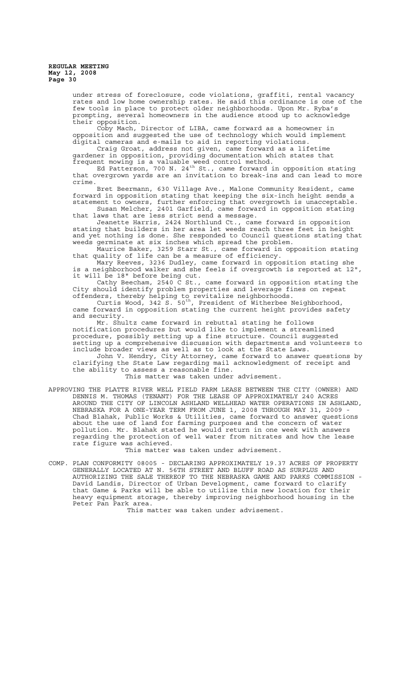under stress of foreclosure, code violations, graffiti, rental vacancy rates and low home ownership rates. He said this ordinance is one of the few tools in place to protect older neighborhoods. Upon Mr. Ryba's prompting, several homeowners in the audience stood up to acknowledge their opposition.

Coby Mach, Director of LIBA, came forward as a homeowner in opposition and suggested the use of technology which would implement digital cameras and e-mails to aid in reporting violations.

Craig Groat, address not given, came forward as a lifetime gardener in opposition, providing documentation which states that frequent mowing is a valuable weed control method.

Ed Patterson, 700 N. 24<sup>th</sup> St., came forward in opposition stating that overgrown yards are an invitation to break-ins and can lead to more crime.

Bret Beermann, 630 Village Ave., Malone Community Resident, came forward in opposition stating that keeping the six-inch height sends a statement to owners, further enforcing that overgrowth is unacceptable. Susan Melcher, 2401 Garfield, came forward in opposition stating

that laws that are less strict send a message. Jeanette Harris, 2424 Northlund Ct., came forward in opposition

stating that builders in her area let weeds reach three feet in height and yet nothing is done. She responded to Council questions stating that weeds germinate at six inches which spread the problem.

Maurice Baker, 3259 Starr St., came forward in opposition stating that quality of life can be a measure of efficiency.

Mary Reeves, 3236 Dudley, came forward in opposition stating she is a neighborhood walker and she feels if overgrowth is reported at 12", it will be 18" before being cut.

Cathy Beecham, 2540 C St., came forward in opposition stating the City should identify problem properties and leverage fines on repeat offenders, thereby helping to revitalize neighborhoods.

Curtis Wood, 342 S.  $50^{th}$ , President of Witherbee Neighborhood, came forward in opposition stating the current height provides safety and security.

Mr. Shultz came forward in rebuttal stating he follows notification procedures but would like to implement a streamlined procedure, possibly setting up a fine structure. Council suggested setting up a comprehensive discussion with departments and volunteers to include broader views as well as to look at the State Laws.

John V. Hendry, City Attorney, came forward to answer questions by clarifying the State Law regarding mail acknowledgment of receipt and the ability to assess a reasonable fine.

This matter was taken under advisement.

APPROVING THE PLATTE RIVER WELL FIELD FARM LEASE BETWEEN THE CITY (OWNER) AND DENNIS M. THOMAS (TENANT) FOR THE LEASE OF APPROXIMATELY 240 ACRES AROUND THE CITY OF LINCOLN ASHLAND WELLHEAD WATER OPERATIONS IN ASHLAND, NEBRASKA FOR A ONE-YEAR TERM FROM JUNE 1, 2008 THROUGH MAY 31, 2009 - Chad Blahak, Public Works & Utilities, came forward to answer questions about the use of land for farming purposes and the concern of water pollution. Mr. Blahak stated he would return in one week with answers regarding the protection of well water from nitrates and how the lease rate figure was achieved.

This matter was taken under advisement.

COMP. PLAN CONFORMITY 08005 - DECLARING APPROXIMATELY 19.37 ACRES OF PROPERTY GENERALLY LOCATED AT N. 56TH STREET AND BLUFF ROAD AS SURPLUS AND AUTHORIZING THE SALE THEREOF TO THE NEBRASKA GAME AND PARKS COMMISSION - David Landis, Director of Urban Development, came forward to clarify that Game & Parks will be able to utilize this new location for their heavy equipment storage, thereby improving neighborhood housing in the Peter Pan Park area.

This matter was taken under advisement.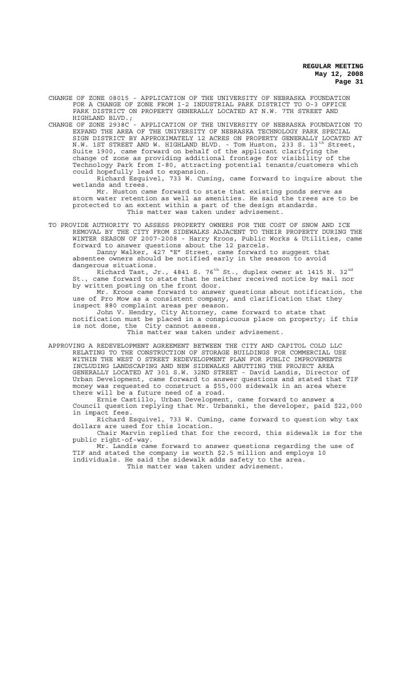CHANGE OF ZONE 08015 - APPLICATION OF THE UNIVERSITY OF NEBRASKA FOUNDATION FOR A CHANGE OF ZONE FROM I-2 INDUSTRIAL PARK DISTRICT TO O-3 OFFICE PARK DISTRICT ON PROPERTY GENERALLY LOCATED AT N.W. 7TH STREET AND HIGHLAND BLVD.;

CHANGE OF ZONE 2938C - APPLICATION OF THE UNIVERSITY OF NEBRASKA FOUNDATION TO EXPAND THE AREA OF THE UNIVERSITY OF NEBRASKA TECHNOLOGY PARK SPECIAL SIGN DISTRICT BY APPROXIMATELY 12 ACRES ON PROPERTY GENERALLY LOCATED AT N.W. 1ST STREET AND W. HIGHLAND BLVD. - Tom Huston, 233 S. 13<sup>th</sup> Street, Suite 1900, came forward on behalf of the applicant clarifying the change of zone as providing additional frontage for visibility of the Technology Park from I-80, attracting potential tenants/customers which could hopefully lead to expansion.

Richard Esquivel, 733 W. Cuming, came forward to inquire about the wetlands and trees.

Mr. Huston came forward to state that existing ponds serve as storm water retention as well as amenities. He said the trees are to be protected to an extent within a part of the design standards. This matter was taken under advisement.

TO PROVIDE AUTHORITY TO ASSESS PROPERTY OWNERS FOR THE COST OF SNOW AND ICE REMOVAL BY THE CITY FROM SIDEWALKS ADJACENT TO THEIR PROPERTY DURING THE WINTER SEASON OF 2007-2008 - Harry Kroos, Public Works & Utilities, came forward to answer questions about the 12 parcels.

Danny Walker, 427 "E" Street, came forward to suggest that absentee owners should be notified early in the season to avoid dangerous situations.

Richard Tast, Jr., 4841 S. 76 $^{\rm th}$  St., duplex owner at 1415 N. 32 $^{\rm nd}$ St., came forward to state that he neither received notice by mail nor by written posting on the front door.

Mr. Kroos came forward to answer questions about notification, the use of Pro Mow as a consistent company, and clarification that they inspect 880 complaint areas per season.

John V. Hendry, City Attorney, came forward to state that notification must be placed in a conspicuous place on property; if this is not done, the City cannot assess.

This matter was taken under advisement.

APPROVING A REDEVELOPMENT AGREEMENT BETWEEN THE CITY AND CAPITOL COLD LLC RELATING TO THE CONSTRUCTION OF STORAGE BUILDINGS FOR COMMERCIAL USE WITHIN THE WEST O STREET REDEVELOPMENT PLAN FOR PUBLIC IMPROVEMENTS INCLUDING LANDSCAPING AND NEW SIDEWALKS ABUTTING THE PROJECT AREA GENERALLY LOCATED AT 301 S.W. 32ND STREET - David Landis, Director of Urban Development, came forward to answer questions and stated that TIF money was requested to construct a \$55,000 sidewalk in an area where there will be a future need of a road.

Ernie Castillo, Urban Development, came forward to answer a Council question replying that Mr. Urbanski, the developer, paid \$22,000 in impact fees.

Richard Esquivel, 733 W. Cuming, came forward to question why tax dollars are used for this location.

Chair Marvin replied that for the record, this sidewalk is for the public right-of-way.

Mr. Landis came forward to answer questions regarding the use of TIF and stated the company is worth \$2.5 million and employs 10 individuals. He said the sidewalk adds safety to the area.

This matter was taken under advisement.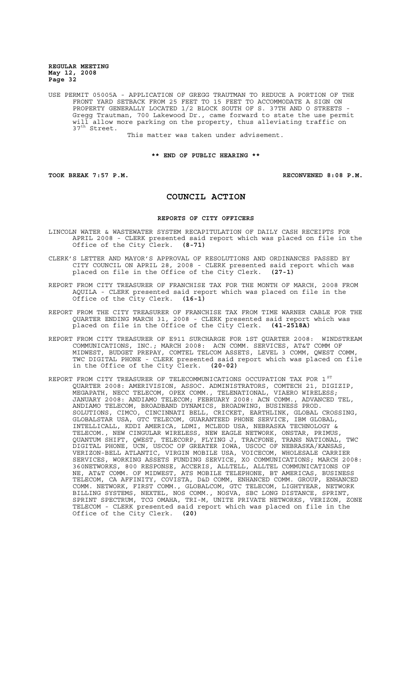USE PERMIT 05005A - APPLICATION OF GREGG TRAUTMAN TO REDUCE A PORTION OF THE FRONT YARD SETBACK FROM 25 FEET TO 15 FEET TO ACCOMMODATE A SIGN ON PROPERTY GENERALLY LOCATED 1/2 BLOCK SOUTH OF S. 37TH AND O STREETS - Gregg Trautman, 700 Lakewood Dr., came forward to state the use permit will allow more parking on the property, thus alleviating traffic on 37<sup>th</sup> Street.

This matter was taken under advisement.

**\*\* END OF PUBLIC HEARING \*\***

**TOOK BREAK 7:57 P.M. RECONVENED 8:08 P.M.**

# **COUNCIL ACTION**

#### **REPORTS OF CITY OFFICERS**

- LINCOLN WATER & WASTEWATER SYSTEM RECAPITULATION OF DAILY CASH RECEIPTS FOR APRIL 2008 - CLERK presented said report which was placed on file in the Office of the City Clerk. **(8-71)**
- CLERK'S LETTER AND MAYOR'S APPROVAL OF RESOLUTIONS AND ORDINANCES PASSED BY CITY COUNCIL ON APRIL 28, 2008 - CLERK presented said report which was placed on file in the Office of the City Clerk. **(27-1)**
- REPORT FROM CITY TREASURER OF FRANCHISE TAX FOR THE MONTH OF MARCH, 2008 FROM AQUILA - CLERK presented said report which was placed on file in the Office of the City Clerk. **(16-1)**
- REPORT FROM THE CITY TREASURER OF FRANCHISE TAX FROM TIME WARNER CABLE FOR THE QUARTER ENDING MARCH 31, 2008 - CLERK presented said report which was placed on file in the Office of the City Clerk. **(41-2518A)**
- REPORT FROM CITY TREASURER OF E911 SURCHARGE FOR 1ST QUARTER 2008: WINDSTREAM COMMUNICATIONS, INC.; MARCH 2008: ACN COMM. SERVICES, AT&T COMM OF MIDWEST, BUDGET PREPAY, COMTEL TELCOM ASSETS, LEVEL 3 COMM, QWEST COMM, TWC DIGITAL PHONE - CLERK presented said report which was placed on file in the Office of the City Clerk. **(20-02)**
- REPORT FROM CITY TREASURER OF TELECOMMUNICATIONS OCCUPATION TAX FOR 1<sup>ST</sup> QUARTER 2008: AMERIVISION, ASSOC. ADMINISTRATORS, COMTECH 21, DIGIZIP, MEGAPATH, NECC TELECOM, OPEX COMM., TELENATIONAL, VIAERO WIRELESS; JANUARY 2008: ANDIAMO TELECOM; FEBRUARY 2008: ACN COMM., ADVANCED TEL, ANDIAMO TELECOM, BROADBAND DYNAMICS, BROADWING, BUSINESS PROD. SOLUTIONS, CIMCO, CINCINNATI BELL, CRICKET, EARTHLINK, GLOBAL CROSSING, GLOBALSTAR USA, GTC TELECOM, GUARANTEED PHONE SERVICE, IBM GLOBAL, INTELLICALL, KDDI AMERICA, LDMI, MCLEOD USA, NEBRASKA TECHNOLOGY & TELECOM., NEW CINGULAR WIRELESS, NEW EAGLE NETWORK, ONSTAR, PRIMUS, QUANTUM SHIFT, QWEST, TELECORP, FLYING J, TRACFONE, TRANS NATIONAL, TWC DIGITAL PHONE, UCN, USCOC OF GREATER IOWA, USCOC OF NEBRASKA/KANSAS, VERIZON-BELL ATLANTIC, VIRGIN MOBILE USA, VOICECOM, WHOLESALE CARRIER SERVICES, WORKING ASSETS FUNDING SERVICE, XO COMMUNICATIONS; MARCH 2008: 360NETWORKS, 800 RESPONSE, ACCERIS, ALLTELL, ALLTEL COMMUNICATIONS OF NE, AT&T COMM. OF MIDWEST, ATS MOBILE TELEPHONE, BT AMERICAS, BUSINESS TELECOM, CA AFFINITY, COVISTA, D&D COMM, ENHANCED COMM. GROUP, ENHANCED COMM. NETWORK, FIRST COMM., GLOBALCOM, GTC TELECOM, LIGHTYEAR, NETWORK BILLING SYSTEMS, NEXTEL, NOS COMM., NOSVA, SBC LONG DISTANCE, SPRINT, SPRINT SPECTRUM, TCG OMAHA, TRI-M, UNITE PRIVATE NETWORKS, VERIZON, ZONE TELECOM - CLERK presented said report which was placed on file in the Office of the City Clerk. **(20)**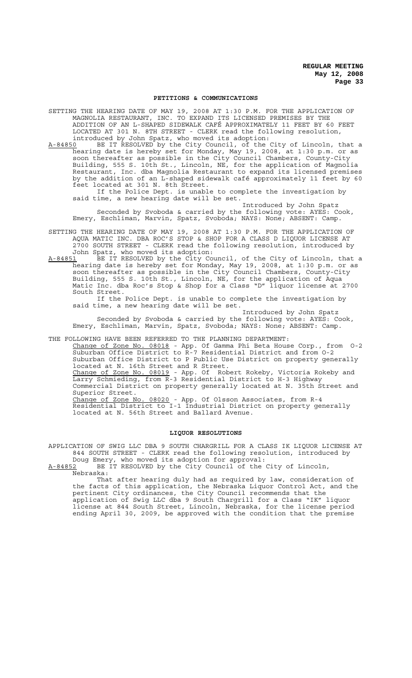#### **PETITIONS & COMMUNICATIONS**

SETTING THE HEARING DATE OF MAY 19, 2008 AT 1:30 P.M. FOR THE APPLICATION OF MAGNOLIA RESTAURANT, INC. TO EXPAND ITS LICENSED PREMISES BY THE ADDITION OF AN L-SHAPED SIDEWALK CAFÉ APPROXIMATELY 11 FEET BY 60 FEET LOCATED AT 301 N. 8TH STREET - CLERK read the following resolution, introduced by John Spatz, who moved its adoption:

A-84850 BE IT RESOLVED by the City Council, of the City of Lincoln, that a hearing date is hereby set for Monday, May 19, 2008, at 1:30 p.m. or as soon thereafter as possible in the City Council Chambers, County-City Building, 555 S. 10th St., Lincoln, NE, for the application of Magnolia Restaurant, Inc. dba Magnolia Restaurant to expand its licensed premises by the addition of an L-shaped sidewalk café approximately 11 feet by 60 feet located at 301 N. 8th Street.

If the Police Dept. is unable to complete the investigation by said time, a new hearing date will be set.

Introduced by John Spatz Seconded by Svoboda & carried by the following vote: AYES: Cook, Emery, Eschliman, Marvin, Spatz, Svoboda; NAYS: None; ABSENT: Camp.

SETTING THE HEARING DATE OF MAY 19, 2008 AT 1:30 P.M. FOR THE APPLICATION OF AQUA MATIC INC. DBA ROC'S STOP & SHOP FOR A CLASS D LIQUOR LICENSE AT 2700 SOUTH STREET - CLERK read the following resolution, introduced by John Spatz, who moved its adoption:

A-84851 BE IT RESOLVED by the City Council, of the City of Lincoln, that a hearing date is hereby set for Monday, May 19, 2008, at 1:30 p.m. or as soon thereafter as possible in the City Council Chambers, County-City Building, 555 S. 10th St., Lincoln, NE, for the application of Aqua Matic Inc. dba Roc's Stop & Shop for a Class "D" liquor license at 2700 South Street.

If the Police Dept. is unable to complete the investigation by said time, a new hearing date will be set.

Introduced by John Spatz Seconded by Svoboda & carried by the following vote: AYES: Cook, Emery, Eschliman, Marvin, Spatz, Svoboda; NAYS: None; ABSENT: Camp.

THE FOLLOWING HAVE BEEN REFERRED TO THE PLANNING DEPARTMENT:

Change of Zone No. 08018 - App. Of Gamma Phi Beta House Corp., from 0-2 Suburban Office District to R-7 Residential District and from O-2 Suburban Office District to P Public Use District on property generally located at N. 16th Street and R Street. Change of Zone No. 08019 - App. Of Robert Rokeby, Victoria Rokeby and Larry Schmieding, from R-3 Residential District to H-3 Highway Larry Schmieding, from R-3 Residential District to H-3 Highway<br>Commercial District on property generally located at N. 35th Street and Superior Street. Change of Zone No. 08020 - App. Of Olsson Associates, from R-4

Residential District to I-1 Industrial District on property generally located at N. 56th Street and Ballard Avenue.

# **LIQUOR RESOLUTIONS**

APPLICATION OF SWIG LLC DBA 9 SOUTH CHARGRILL FOR A CLASS IK LIQUOR LICENSE AT 844 SOUTH STREET - CLERK read the following resolution, introduced by Doug Emery, who moved its adoption for approval:

A-84852 BE IT RESOLVED by the City Council of the City of Lincoln, Nebraska:

That after hearing duly had as required by law, consideration of the facts of this application, the Nebraska Liquor Control Act, and the pertinent City ordinances, the City Council recommends that the application of Swig LLC dba 9 South Chargrill for a Class "IK" liquor license at 844 South Street, Lincoln, Nebraska, for the license period ending April 30, 2009, be approved with the condition that the premise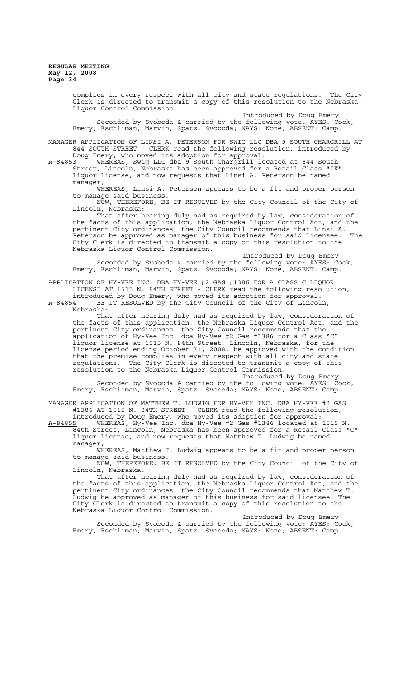complies in every respect with all city and state regulations. The City Clerk is directed to transmit a copy of this resolution to the Nebraska Liquor Control Commission. Introduced by Doug Emery Seconded by Svoboda & carried by the following vote: AYES: Cook, Emery, Eschliman, Marvin, Spatz, Svoboda; NAYS: None; ABSENT: Camp. MANAGER APPLICATION OF LINSI A. PETERSON FOR SWIG LLC DBA 9 SOUTH CHARGRILL AT 844 SOUTH STREET - CLERK read the following resolution, introduced by Doug Emery, who moved its adoption for approval:<br>A-84853 WHEREAS, Swig LLC dba 9 South Chargrill lo A-84853 MHEREAS, Swig LLC dba 9 South Chargrill located at 844 South Street, Lincoln, Nebraska has been approved for a Retail Class "IK" liquor license, and now requests that Linsi A. Peterson be named manager; WHEREAS, Linsi A. Peterson appears to be a fit and proper person to manage said business. NOW, THEREFORE, BE IT RESOLVED by the City Council of the City of Lincoln, Nebraska: That after hearing duly had as required by law, consideration of the facts of this application, the Nebraska Liquor Control Act, and the pertinent City ordinances, the City Council recommends that Linsi A. Peterson be approved as manager of this business for said licensee. The City Clerk is directed to transmit a copy of this resolution to the Nebraska Liquor Control Commission. Introduced by Doug Emery Seconded by Svoboda & carried by the following vote: AYES: Cook, Emery, Eschliman, Marvin, Spatz, Svoboda; NAYS: None; ABSENT: Camp. APPLICATION OF HY-VEE INC. DBA HY-VEE #2 GAS #1386 FOR A CLASS C LIQUOR LICENSE AT 1515 N. 84TH STREET - CLERK read the following resolution, introduced by Doug Emery, who moved its adoption for approval: A-84854 BE IT RESOLVED by the City Council of the City of Lincoln,  $A-84854$  BE<br>Nebraska: That after hearing duly had as required by law, consideration of the facts of this application, the Nebraska Liquor Control Act, and the pertinent City ordinances, the City Council recommends that the application of Hy-Vee Inc. dba Hy-Vee #2 Gas #1386 for a Class "C" liquor license at 1515 N. 84th Street, Lincoln, Nebraska, for the license period ending October 31, 2008, be approved with the condition that the premise complies in every respect with all city and state regulations. The City Clerk is directed to transmit a copy of this resolution to the Nebraska Liquor Control Commission. Introduced by Doug Emery Seconded by Svoboda & carried by the following vote: AYES: Cook, Emery, Eschliman, Marvin, Spatz, Svoboda; NAYS: None; ABSENT: Camp.

MANAGER APPLICATION OF MATTHEW T. LUDWIG FOR HY-VEE INC. DBA HY-VEE #2 GAS #1386 AT 1515 N. 84TH STREET - CLERK read the following resolution, introduced by Doug Emery, who moved its adoption for approval: A-84855 WHEREAS, Hy-Vee Inc. dba Hy-Vee #2 Gas #1386 located at 1515 N.

84th Street, Lincoln, Nebraska has been approved for a Retail Class "C" liquor license, and now requests that Matthew T. Ludwig be named manager;

WHEREAS, Matthew T. Ludwig appears to be a fit and proper person to manage said business.

NOW, THEREFORE, BE IT RESOLVED by the City Council of the City of Lincoln, Nebraska:

That after hearing duly had as required by law, consideration of the facts of this application, the Nebraska Liquor Control Act, and the pertinent City ordinances, the City Council recommends that Matthew T. .<br>Ludwig be approved as manager of this business for said licensee. The City Clerk is directed to transmit a copy of this resolution to the Nebraska Liquor Control Commission.

Introduced by Doug Emery Seconded by Svoboda & carried by the following vote: AYES: Cook, Emery, Eschliman, Marvin, Spatz, Svoboda; NAYS: None; ABSENT: Camp.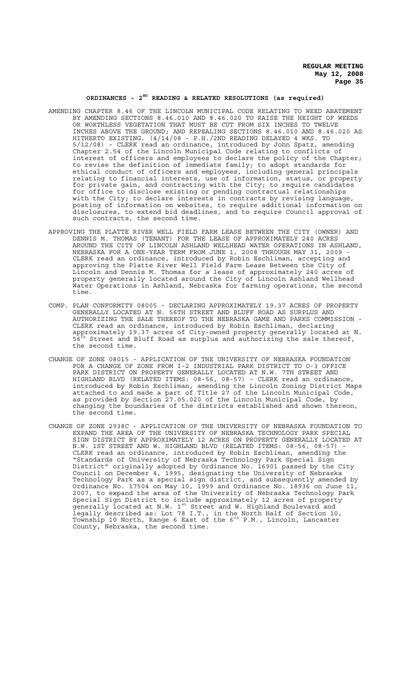# **ORDINANCES - 2ND READING & RELATED RESOLUTIONS (as required)**

- AMENDING CHAPTER 8.46 OF THE LINCOLN MUNICIPAL CODE RELATING TO WEED ABATEMENT BY AMENDING SECTIONS 8.46.010 AND 8.46.020 TO RAISE THE HEIGHT OF WEEDS OR WORTHLESS VEGETATION THAT MUST BE CUT FROM SIX INCHES TO TWELVE INCHES ABOVE THE GROUND; AND REPEALING SECTIONS 8.46.010 AND 8.46.020 AS HITHERTO EXISTING. (4/14/08 - P.H./2ND READING DELAYED 4 WKS. TO - CLERK read an ordinance, introduced by John Spatz, Chapter 2.54 of the Lincoln Municipal Code relating to conflicts of interest of officers and employees to declare the policy of the Chapter; to revise the definition of immediate family; to adopt standards for ethical conduct of officers and employees, including general principals relating to financial interests, use of information, status, or property for private gain, and contracting with the City; to require candidates for office to disclose existing or pending contractual relationships with the City; to declare interests in contracts by revising language, posting of information on websites, to require additional information on disclosures, to extend bid deadlines, and to require Council approval of such contracts, the second time.
- APPROVING THE PLATTE RIVER WELL FIELD FARM LEASE BETWEEN THE CITY (OWNER) AND DENNIS M. THOMAS (TENANT) FOR THE LEASE OF APPROXIMATELY 240 ACRES AROUND THE CITY OF LINCOLN ASHLAND WELLHEAD WATER OPERATIONS IN ASHLAND, NEBRASKA FOR A ONE-YEAR TERM FROM JUNE 1, 2008 THROUGH MAY 31, 2009 - CLERK read an ordinance, introduced by Robin Eschliman, accepting and approving the Platte River Well Field Farm Lease Between the City of Lincoln and Dennis M. Thomas for a lease of approximately 240 acres of property generally located around the City of Lincoln Ashland Wellhead Water Operations in Ashland, Nebraska for farming operations, the second time.
- COMP. PLAN CONFORMITY 08005 DECLARING APPROXIMATELY 19.37 ACRES OF PROPERTY GENERALLY LOCATED AT N. 56TH STREET AND BLUFF ROAD AS SURPLUS AND AUTHORIZING THE SALE THEREOF TO THE NEBRASKA GAME AND PARKS COMMISSION - CLERK read an ordinance, introduced by Robin Eschliman, declaring approximately 19.37 acres of City-owned property generally located at N. Street and Bluff Road as surplus and authorizing the sale thereof, the second time.
- CHANGE OF ZONE 08015 APPLICATION OF THE UNIVERSITY OF NEBRASKA FOUNDATION FOR A CHANGE OF ZONE FROM I-2 INDUSTRIAL PARK DISTRICT TO O-3 OFFICE PARK DISTRICT ON PROPERTY GENERALLY LOCATED AT N.W. 7TH STREET AND HIGHLAND BLVD (RELATED ITEMS: 08-56, 08-57) - CLERK read an ordinance, introduced by Robin Eschliman, amending the Lincoln Zoning District Maps attached to and made a part of Title 27 of the Lincoln Municipal Code, as provided by Section 27.05.020 of the Lincoln Municipal Code, by changing the boundaries of the districts established and shown thereon, the second time.
- CHANGE OF ZONE 2938C APPLICATION OF THE UNIVERSITY OF NEBRASKA FOUNDATION TO EXPAND THE AREA OF THE UNIVERSITY OF NEBRASKA TECHNOLOGY PARK SPECIAL SIGN DISTRICT BY APPROXIMATELY 12 ACRES ON PROPERTY GENERALLY LOCATED AT N.W. 1ST STREET AND W. HIGHLAND BLVD (RELATED ITEMS: 08-56, 08-57) - CLERK read an ordinance, introduced by Robin Eschliman, amending the "Standards of University of Nebraska Technology Park Special Sign District" originally adopted by Ordinance No. 16901 passed by the City Council on December 4, 1995, designating the University of Nebraska Technology Park as a special sign district, and subsequently amended by Ordinance No. 17504 on May 10, 1999 and Ordinance No. 18936 on June 11, 2007, to expand the area of the University of Nebraska Technology Park Special Sign District to include approximately 12 acres of property generally located at N.W. 1<sup>st</sup> Street and W. Highland Boulevard and legally described as: Lot 78 I.T., in the North Half of Section 10, Township 10 North, Range 6 East of the 6<sup>th</sup> P.M., Lincoln, Lancaster County, Nebraska, the second time.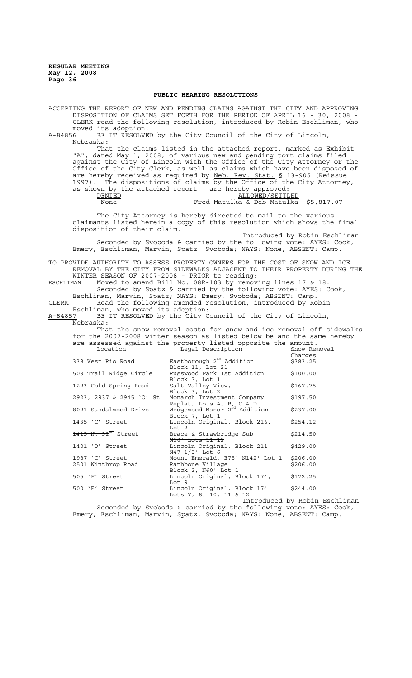# **PUBLIC HEARING RESOLUTIONS**

ACCEPTING THE REPORT OF NEW AND PENDING CLAIMS AGAINST THE CITY AND APPROVING DISPOSITION OF CLAIMS SET FORTH FOR THE PERIOD OF APRIL 16 - 30, 2008 - CLERK read the following resolution, introduced by Robin Eschliman, who moved its adoption:<br>A-84856 BE IT RESOLVE BE IT RESOLVED by the City Council of the City of Lincoln, Nebraska: That the claims listed in the attached report, marked as Exhibit "A", dated May 1, 2008, of various new and pending tort claims filed against the City of Lincoln with the Office of the City Attorney or the Office of the City Clerk, as well as claims which have been disposed of, are hereby received as required by Neb. Rev. Stat. § 13-905 (Reissue 1997). The dispositions of claims by the Office of the City Attorney, as shown by the attached report, are hereby approved: DENIED CONFIDENTIED ALLOWED / SETTLED None Fred Matulka & Deb Matulka \$5,817.07 The City Attorney is hereby directed to mail to the various claimants listed herein a copy of this resolution which shows the final disposition of their claim. Introduced by Robin Eschliman Seconded by Svoboda & carried by the following vote: AYES: Cook, Emery, Eschliman, Marvin, Spatz, Svoboda; NAYS: None; ABSENT: Camp. TO PROVIDE AUTHORITY TO ASSESS PROPERTY OWNERS FOR THE COST OF SNOW AND ICE REMOVAL BY THE CITY FROM SIDEWALKS ADJACENT TO THEIR PROPERTY DURING THE WINTER SEASON OF 2007-2008 - PRIOR to reading:<br>ESCHLIMAN Moved to amend Bill No. 08R-103 by remov ESCHLIMAN Moved to amend Bill No. 08R-103 by removing lines 17 & 18. Seconded by Spatz & carried by the following vote: AYES: Cook, Eschliman, Marvin, Spatz; NAYS: Emery, Svoboda; ABSENT: Camp. CLERK Read the following amended resolution, introduced by Robin Eschliman, who moved its adoption: A-84857 BE IT RESOLVED by the City Council of the City of Lincoln, Nebraska: That the snow removal costs for snow and ice removal off sidewalks for the 2007-2008 winter season as listed below be and the same hereby are assessed against the property listed opposite the amount.<br>Location and Legal Description of the Show Removal Legal Description Charges<br>\$383.25 338 West Rio Road  $\qquad \qquad$  Eastborough  $2^{nd}$  Addition Block 11, Lot 21 503 Trail Ridge Circle Russwood Park 1st Addition \$100.00 Block 3, Lot 1 1223 Cold Spring Road Salt Valley View, \$167.75 Block 3, Lot 2 2923, 2937 & 2945 'O' St Monarch Investment Company \$197.50 Replat, Lots A, B, C & D<br>8021 Sandalwood Drive Wedgewood Manor 2<sup>nd</sup> Addition \$237.00 Block 7, Lot 1 1435 'C' Street Lincoln Original, Block 216, \$254.12 Lot 2  $1415$  N.  $32^{\overline{m}}$ -Street Brace & Strawbridge Sub  $\leftarrow$  \$214.50 N50' Lots 11-12 1401 'D' Street Lincoln Original, Block 211 \$429.00 N47 1/3' Lot 6 1987 'C' Street Mount Emerald, E75' N142' Lot 1 \$206.00<br>2501 Winthrop Road Rathbone Village \$206.00 2501 Winthrop Road Rathbone Village **1996.00** Block 2, N60' Lot 1 505 'F' Street Lincoln Original, Block 174, \$172.25 Lot 9 500 'E' Street Lincoln Original, Block 174 \$244.00 Lots 7, 8, 10, 11 & 12 Introduced by Robin Eschliman Seconded by Svoboda & carried by the following vote: AYES: Cook,

Emery, Eschliman, Marvin, Spatz, Svoboda; NAYS: None; ABSENT: Camp.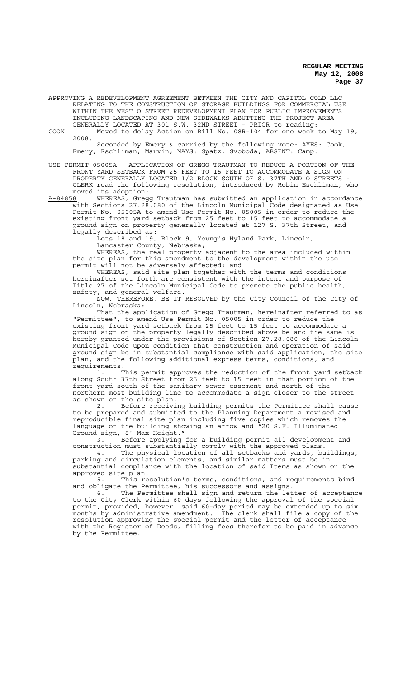APPROVING A REDEVELOPMENT AGREEMENT BETWEEN THE CITY AND CAPITOL COLD LLC RELATING TO THE CONSTRUCTION OF STORAGE BUILDINGS FOR COMMERCIAL USE WITHIN THE WEST O STREET REDEVELOPMENT PLAN FOR PUBLIC IMPROVEMENTS INCLUDING LANDSCAPING AND NEW SIDEWALKS ABUTTING THE PROJECT AREA GENERALLY LOCATED AT 301 S.W. 32ND STREET - PRIOR to reading:

COOK Moved to delay Action on Bill No. 08R-104 for one week to May 19, 2008.

Seconded by Emery & carried by the following vote: AYES: Cook, Emery, Eschliman, Marvin; NAYS: Spatz, Svoboda; ABSENT: Camp.

USE PERMIT 05005A - APPLICATION OF GREGG TRAUTMAN TO REDUCE A PORTION OF THE FRONT YARD SETBACK FROM 25 FEET TO 15 FEET TO ACCOMMODATE A SIGN ON PROPERTY GENERALLY LOCATED 1/2 BLOCK SOUTH OF S. 37TH AND O STREETS CLERK read the following resolution, introduced by Robin Eschliman, who moved its adoption:<br>A-84858 WHEREAS, Greque

A-84858 MHEREAS, Gregg Trautman has submitted an application in accordance with Sections 27.28.080 of the Lincoln Municipal Code designated as Use Permit No. 05005A to amend Use Permit No. 05005 in order to reduce the existing front yard setback from 25 feet to 15 feet to accommodate a ground sign on property generally located at 127 S. 37th Street, and legally described as:

Lots 18 and 19, Block 9, Young's Hyland Park, Lincoln, Lancaster County, Nebraska;

WHEREAS, the real property adjacent to the area included within the site plan for this amendment to the development within the use permit will not be adversely affected; and

WHEREAS, said site plan together with the terms and conditions hereinafter set forth are consistent with the intent and purpose of Title 27 of the Lincoln Municipal Code to promote the public health, safety, and general welfare.

NOW, THEREFORE, BE IT RESOLVED by the City Council of the City of Lincoln, Nebraska:

That the application of Gregg Trautman, hereinafter referred to as "Permittee", to amend Use Permit No. 05005 in order to reduce the existing front yard setback from 25 feet to 15 feet to accommodate a ground sign on the property legally described above be and the same is hereby granted under the provisions of Section 27.28.080 of the Lincoln Municipal Code upon condition that construction and operation of said ground sign be in substantial compliance with said application, the site plan, and the following additional express terms, conditions, and requirements:

1. This permit approves the reduction of the front yard setback along South 37th Street from 25 feet to 15 feet in that portion of the front yard south of the sanitary sewer easement and north of the northern most building line to accommodate a sign closer to the street as shown on the site plan.

2. Before receiving building permits the Permittee shall cause to be prepared and submitted to the Planning Department a revised and reproducible final site plan including five copies which removes the language on the building showing an arrow and "20 S.F. Illuminated Ground sign, 8' Max Height."

3. Before applying for a building permit all development and construction must substantially comply with the approved plans.

4. The physical location of all setbacks and yards, buildings, parking and circulation elements, and similar matters must be in substantial compliance with the location of said Items as shown on the approved site plan.

5. This resolution's terms, conditions, and requirements bind and obligate the Permittee, his successors and assigns.

6. The Permittee shall sign and return the letter of acceptance to the City Clerk within 60 days following the approval of the special permit, provided, however, said 60-day period may be extended up to six months by administrative amendment. The clerk shall file a copy of the resolution approving the special permit and the letter of acceptance with the Register of Deeds, filling fees therefor to be paid in advance by the Permittee.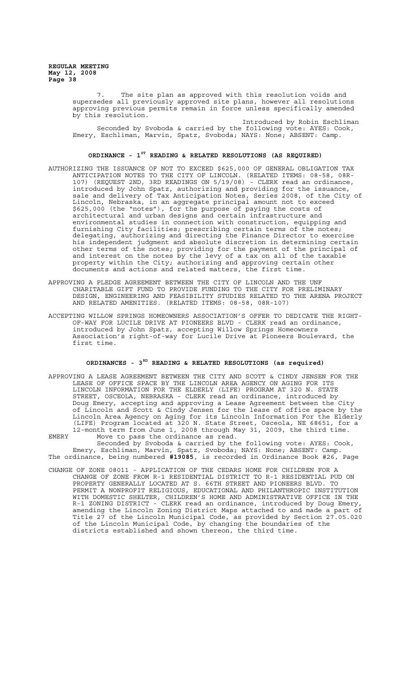> The site plan as approved with this resolution voids and supersedes all previously approved site plans, however all resolutions approving previous permits remain in force unless specifically amended by this resolution.

Introduced by Robin Eschliman Seconded by Svoboda & carried by the following vote: AYES: Cook, Emery, Eschliman, Marvin, Spatz, Svoboda; NAYS: None; ABSENT: Camp.

# **ORDINANCE - 1ST READING & RELATED RESOLUTIONS (AS REQUIRED)**

- AUTHORIZING THE ISSUANCE OF NOT TO EXCEED \$625,000 OF GENERAL OBLIGATION TAX ANTICIPATION NOTES TO THE CITY OF LINCOLN. (RELATED ITEMS: 08-58, 08R-107) (REQUEST 2ND, 3RD READINGS ON 5/19/08) - CLERK read an ordinance, introduced by John Spatz, authorizing and providing for the issuance, sale and delivery of Tax Anticipation Notes, Series 2008, of the City of Lincoln, Nebraska, in an aggregate principal amount not to exceed \$625,000 (the "notes"), for the purpose of paying the costs of architectural and urban designs and certain infrastructure and environmental studies in connection with construction, equipping and furnishing City facilities; prescribing certain terms of the notes; delegating, authorizing and directing the Finance Director to exercise his independent judgment and absolute discretion in determining certain other terms of the notes; providing for the payment of the principal of and interest on the notes by the levy of a tax on all of the taxable property within the City; authorizing and approving certain other documents and actions and related matters, the first time.
- APPROVING A PLEDGE AGREEMENT BETWEEN THE CITY OF LINCOLN AND THE UNF CHARITABLE GIFT FUND TO PROVIDE FUNDING TO THE CITY FOR PRELIMINARY DESIGN, ENGINEERING AND FEASIBILITY STUDIES RELATED TO THE ARENA PROJECT AND RELATED AMENITIES. (RELATED ITEMS: 08-58, 08R-107)
- ACCEPTING WILLOW SPRINGS HOMEOWNERS ASSOCIATION'S OFFER TO DEDICATE THE RIGHT-OF-WAY FOR LUCILE DRIVE AT PIONEERS BLVD - CLERK read an ordinance, introduced by John Spatz, accepting Willow Springs Homeowners Association's right-of-way for Lucile Drive at Pioneers Boulevard, the first time.

# ORDINANCES - 3<sup>RD</sup> READING & RELATED RESOLUTIONS (as required)

APPROVING A LEASE AGREEMENT BETWEEN THE CITY AND SCOTT & CINDY JENSEN FOR THE LEASE OF OFFICE SPACE BY THE LINCOLN AREA AGENCY ON AGING FOR ITS LINCOLN INFORMATION FOR THE ELDERLY (LIFE) PROGRAM AT 320 N. STATE STREET, OSCEOLA, NEBRASKA - CLERK read an ordinance, introduced by Doug Emery, accepting and approving a Lease Agreement between the City of Lincoln and Scott & Cindy Jensen for the lease of office space by the Lincoln Area Agency on Aging for its Lincoln Information For the Elderly (LIFE) Program located at 320 N. State Street, Osceola, NE 68651, for a 12-month term from June 1, 2008 through May 31, 2009, the third time. EMERY Move to pass the ordinance as read.

Seconded by Svoboda & carried by the following vote: AYES: Cook, Emery, Eschliman, Marvin, Spatz, Svoboda; NAYS: None; ABSENT: Camp. The ordinance, being numbered **#19085**, is recorded in Ordinance Book #26, Page

CHANGE OF ZONE 08011 - APPLICATION OF THE CEDARS HOME FOR CHILDREN FOR A CHANGE OF ZONE FROM R-1 RESIDENTIAL DISTRICT TO R-1 RESIDENTIAL PUD ON PROPERTY GENERALLY LOCATED AT S. 66TH STREET AND PIONEERS BLVD. TO PERMIT A NONPROFIT RELIGIOUS, EDUCATIONAL AND PHILANTHROPIC INSTITUTION WITH DOMESTIC SHELTER, CHILDREN'S HOME AND ADMINISTRATIVE OFFICE IN THE R-1 ZONING DISTRICT - CLERK read an ordinance, introduced by Doug Emery, amending the Lincoln Zoning District Maps attached to and made a part of Title 27 of the Lincoln Municipal Code, as provided by Section 27.05.020 of the Lincoln Municipal Code, by changing the boundaries of the districts established and shown thereon, the third time.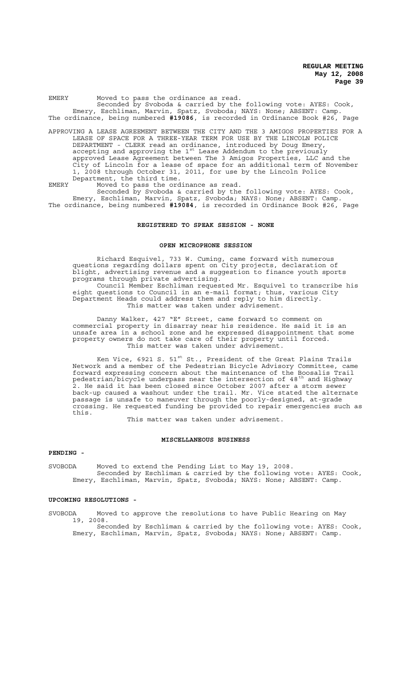EMERY Moved to pass the ordinance as read. Seconded by Svoboda & carried by the following vote: AYES: Cook, Emery, Eschliman, Marvin, Spatz, Svoboda; NAYS: None; ABSENT: Camp. The ordinance, being numbered **#19086**, is recorded in Ordinance Book #26, Page

APPROVING A LEASE AGREEMENT BETWEEN THE CITY AND THE 3 AMIGOS PROPERTIES FOR A LEASE OF SPACE FOR A THREE-YEAR TERM FOR USE BY THE LINCOLN POLICE DEPARTMENT - CLERK read an ordinance, introduced by Doug Emery, accepting and approving the  $1^{st}$  Lease Addendum to the previously approved Lease Agreement between The 3 Amigos Properties, LLC and the City of Lincoln for a lease of space for an additional term of November 1, 2008 through October 31, 2011, for use by the Lincoln Police Department, the third time.

EMERY Moved to pass the ordinance as read. Seconded by Svoboda & carried by the following vote: AYES: Cook, Emery, Eschliman, Marvin, Spatz, Svoboda; NAYS: None; ABSENT: Camp.

The ordinance, being numbered **#19084**, is recorded in Ordinance Book #26, Page

# **REGISTERED TO SPEAK SESSION - NONE**

# **OPEN MICROPHONE SESSION**

Richard Esquivel, 733 W. Cuming, came forward with numerous questions regarding dollars spent on City projects, declaration of blight, advertising revenue and a suggestion to finance youth sports programs through private advertising.

Council Member Eschliman requested Mr. Esquivel to transcribe his eight questions to Council in an e-mail format; thus, various City Department Heads could address them and reply to him directly. This matter was taken under advisement.

Danny Walker, 427 "E" Street, came forward to comment on commercial property in disarray near his residence. He said it is an unsafe area in a school zone and he expressed disappointment that some property owners do not take care of their property until forced. This matter was taken under advisement.

Ken Vice, 6921 S.  $51^{st}$  St., President of the Great Plains Trails Network and a member of the Pedestrian Bicycle Advisory Committee, came forward expressing concern about the maintenance of the Boosalis Trail pedestrian/bicycle underpass near the intersection of 48 $^{\rm th}$  and Highway .<br>2. He said it has been closed since October 2007 after a storm sewer back-up caused a washout under the trail. Mr. Vice stated the alternate passage is unsafe to maneuver through the poorly-designed, at-grade crossing. He requested funding be provided to repair emergencies such as this.

This matter was taken under advisement.

#### **MISCELLANEOUS BUSINESS**

# **PENDING -**

SVOBODA Moved to extend the Pending List to May 19, 2008. Seconded by Eschliman & carried by the following vote: AYES: Cook, Emery, Eschliman, Marvin, Spatz, Svoboda; NAYS: None; ABSENT: Camp.

# **UPCOMING RESOLUTIONS -**

SVOBODA Moved to approve the resolutions to have Public Hearing on May 19, 2008.

Seconded by Eschliman & carried by the following vote: AYES: Cook, Emery, Eschliman, Marvin, Spatz, Svoboda; NAYS: None; ABSENT: Camp.